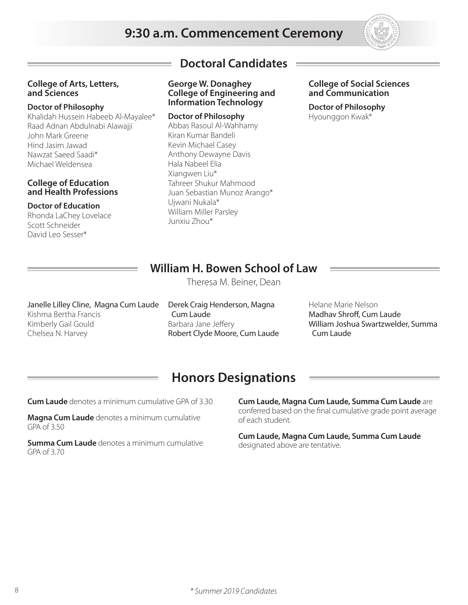# **9:30 a.m. Commencement Ceremony**



### **College of Arts, Letters, and Sciences**

### **Doctor of Philosophy**

Khalidah Hussein Habeeb Al-Mayalee\* Raad Adnan Abdulnabi Alawajji John Mark Greene Hind Jasim Jawad Nawzat Saeed Saadi\* Michael Weldensea

### **College of Education and Health Professions**

### **Doctor of Education**

Rhonda LaChey Lovelace Scott Schneider David Leo Sesser\*

# **Doctoral Candidates**

**George W. Donaghey College of Engineering and Information Technology**

### **Doctor of Philosophy**

Abbas Rasoul Al-Wahhamy Kiran Kumar Bandeli Kevin Michael Casey Anthony Dewayne Davis Hala Nabeel Elia Xiangwen Liu\* Tahreer Shukur Mahmood Juan Sebastian Munoz Arango\* Ujwani Nukala\* William Miller Parsley Junxiu Zhou\*

### **College of Social Sciences and Communication**

**Doctor of Philosophy** Hyounggon Kwak\*

# **William H. Bowen School of Law**

Theresa M. Beiner, Dean

Janelle Lilley Cline, Magna Cum Laude Kishma Bertha Francis Kimberly Gail Gould Chelsea N. Harvey

Derek Craig Henderson, Magna Cum Laude Barbara Jane Jeffery Robert Clyde Moore, Cum Laude Helane Marie Nelson Madhav Shroff, Cum Laude William Joshua Swartzwelder, Summa Cum Laude

# **Honors Designations**

**Cum Laude** denotes a minimum cumulative GPA of 3.30

**Magna Cum Laude** denotes a minimum cumulative GPA of 3.50

**Summa Cum Laude** denotes a minimum cumulative GPA of 3.70

**Cum Laude, Magna Cum Laude, Summa Cum Laude** are conferred based on the final cumulative grade point average of each student.

**Cum Laude, Magna Cum Laude, Summa Cum Laude**  designated above are tentative.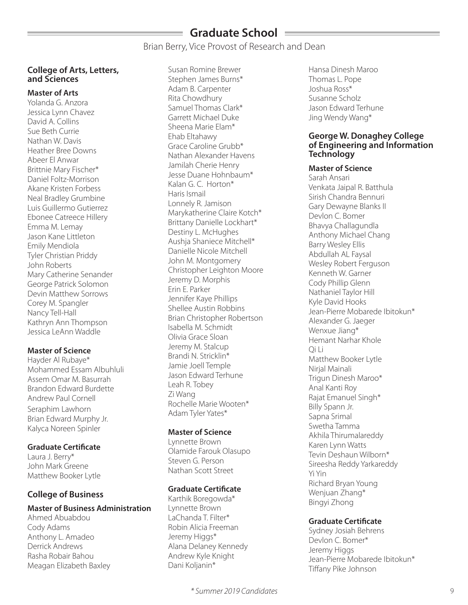# **Graduate School**

Brian Berry, Vice Provost of Research and Dean

### **College of Arts, Letters, and Sciences**

### **Master of Arts**

Yolanda G. Anzora Jessica Lynn Chavez David A. Collins Sue Beth Currie Nathan W. Davis Heather Bree Downs Abeer El Anwar Brittnie Mary Fischer\* Daniel Foltz-Morrison Akane Kristen Forbess Neal Bradley Grumbine Luis Guillermo Gutierrez Ebonee Catreece Hillery Emma M. Lemay Jason Kane Littleton Emily Mendiola Tyler Christian Priddy John Roberts Mary Catherine Senander George Patrick Solomon Devin Matthew Sorrows Corey M. Spangler Nancy Tell-Hall Kathryn Ann Thompson Jessica LeAnn Waddle

### **Master of Science**

Hayder Al Rubaye\* Mohammed Essam Albuhluli Assem Omar M. Basurrah Brandon Edward Burdette Andrew Paul Cornell Seraphim Lawhorn Brian Edward Murphy Jr. Kalyca Noreen Spinler

### **Graduate Certificate**

Laura J. Berry\* John Mark Greene Matthew Booker Lytle

## **College of Business**

### **Master of Business Administration**

Ahmed Abuabdou Cody Adams Anthony L. Amadeo Derrick Andrews Rasha Robair Bahou Meagan Elizabeth Baxley

Susan Romine Brewer Stephen James Burns\* Adam B. Carpenter Rita Chowdhury Samuel Thomas Clark\* Garrett Michael Duke Sheena Marie Elam\* Ehab Eltahawy Grace Caroline Grubb\* Nathan Alexander Havens Jamilah Cherie Henry Jesse Duane Hohnbaum\* Kalan G. C. Horton\* Haris Ismail Lonnely R. Jamison Marykatherine Claire Kotch\* Brittany Danielle Lockhart\* Destiny L. McHughes Aushja Shaniece Mitchell\* Danielle Nicole Mitchell John M. Montgomery Christopher Leighton Moore Jeremy D. Morphis Erin E. Parker Jennifer Kaye Phillips Shellee Austin Robbins Brian Christopher Robertson Isabella M. Schmidt Olivia Grace Sloan Jeremy M. Stalcup Brandi N. Stricklin\* Jamie Joell Temple Jason Edward Terhune Leah R. Tobey Zi Wang Rochelle Marie Wooten\* Adam Tyler Yates\*

### **Master of Science**

Lynnette Brown Olamide Farouk Olasupo Steven G. Person Nathan Scott Street

### **Graduate Certificate**

Karthik Boregowda\* Lynnette Brown LaChanda T. Filter\* Robin Alicia Freeman Jeremy Higgs\* Alana Delaney Kennedy Andrew Kyle Knight Dani Koljanin\*

Hansa Dinesh Maroo Thomas L. Pope Joshua Ross\* Susanne Scholz Jason Edward Terhune Jing Wendy Wang\*

### **George W. Donaghey College of Engineering and Information Technology**

### **Master of Science**

Sarah Ansari Venkata Jaipal R. Batthula Sirish Chandra Bennuri Gary Dewayne Blanks II Devlon C. Bomer Bhavya Challagundla Anthony Michael Chang Barry Wesley Ellis Abdullah AL Faysal Wesley Robert Ferguson Kenneth W. Garner Cody Phillip Glenn Nathaniel Taylor Hill Kyle David Hooks Jean-Pierre Mobarede Ibitokun\* Alexander G. Jaeger Wenxue Jiang\* Hemant Narhar Khole Qi Li Matthew Booker Lytle Nirjal Mainali Trigun Dinesh Maroo\* Anal Kanti Roy Rajat Emanuel Singh\* Billy Spann Jr. Sapna Srimal Swetha Tamma Akhila Thirumalareddy Karen Lynn Watts Tevin Deshaun Wilborn\* Sireesha Reddy Yarkareddy Yi Yin Richard Bryan Young Wenjuan Zhang\* Bingyi Zhong

### **Graduate Certificate**

Sydney Josiah Behrens Devlon C. Bomer\* Jeremy Higgs Jean-Pierre Mobarede Ibitokun\* Tiffany Pike Johnson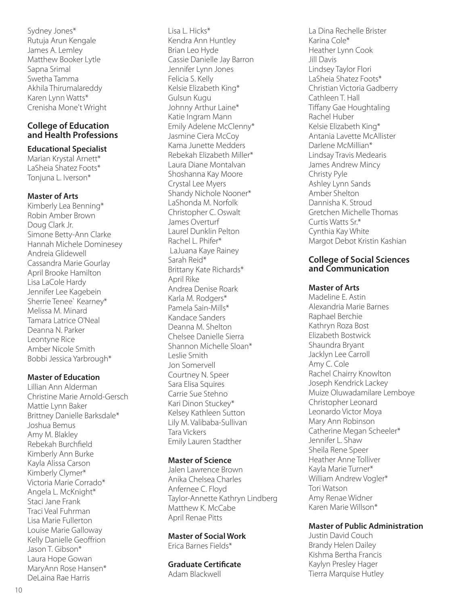Sydney Jones\* Rutuja Arun Kengale James A. Lemley Matthew Booker Lytle Sapna Srimal Swetha Tamma Akhila Thirumalareddy Karen Lynn Watts\* Crenisha Mone't Wright

### **College of Education and Health Professions**

### **Educational Specialist**

Marian Krystal Arnett\* LaSheia Shatez Foots\* Tonjuna L. Iverson\*

### **Master of Arts**

Kimberly Lea Benning\* Robin Amber Brown Doug Clark Jr. Simone Betty-Ann Clarke Hannah Michele Dominesey Andreia Glidewell Cassandra Marie Gourlay April Brooke Hamilton Lisa LaCole Hardy Jennifer Lee Kagebein Sherrie Tenee` Kearney\* Melissa M. Minard Tamara Latrice O'Neal Deanna N. Parker Leontyne Rice Amber Nicole Smith Bobbi Jessica Yarbrough\*

### **Master of Education**

Lillian Ann Alderman Christine Marie Arnold-Gersch Mattie Lynn Baker Brittney Danielle Barksdale\* Joshua Bemus Amy M. Blakley Rebekah Burchfield Kimberly Ann Burke Kayla Alissa Carson Kimberly Clymer\* Victoria Marie Corrado\* Angela L. McKnight\* Staci Jane Frank Traci Veal Fuhrman Lisa Marie Fullerton Louise Marie Galloway Kelly Danielle Geoffrion Jason T. Gibson\* Laura Hope Gowan MaryAnn Rose Hansen\* DeLaina Rae Harris

Lisa L. Hicks\* Kendra Ann Huntley Brian Leo Hyde Cassie Danielle Jay Barron Jennifer Lynn Jones Felicia S. Kelly Kelsie Elizabeth King\* Gulsun Kugu Johnny Arthur Laine\* Katie Ingram Mann Emily Adelene McClenny\* Jasmine Ciera McCoy Kama Junette Medders Rebekah Elizabeth Miller\* Laura Diane Montalvan Shoshanna Kay Moore Crystal Lee Myers Shandy Nichole Nooner\* LaShonda M. Norfolk Christopher C. Oswalt James Overturf Laurel Dunklin Pelton Rachel L. Phifer\* LaJuana Kaye Rainey Sarah Reid\* Brittany Kate Richards\* April Rike Andrea Denise Roark Karla M. Rodgers\* Pamela Sain-Mills\* Kandace Sanders Deanna M. Shelton Chelsee Danielle Sierra Shannon Michelle Sloan\* Leslie Smith Jon Somervell Courtney N. Speer Sara Elisa Squires Carrie Sue Stehno Kari Dinon Stuckey\* Kelsey Kathleen Sutton Lily M. Valibaba-Sullivan Tara Vickers Emily Lauren Stadther

### **Master of Science**

Jalen Lawrence Brown Anika Chelsea Charles Anfernee C. Floyd Taylor-Annette Kathryn Lindberg Matthew K. McCabe April Renae Pitts

### **Master of Social Work**

Erica Barnes Fields\*

**Graduate Certificate**  Adam Blackwell

La Dina Rechelle Brister Karina Cole\* Heather Lynn Cook Jill Davis Lindsey Taylor Flori LaSheia Shatez Foots\* Christian Victoria Gadberry Cathleen T. Hall Tiffany Gae Houghtaling Rachel Huber Kelsie Elizabeth King\* Antania Lavette McAllister Darlene McMillian\* Lindsay Travis Medearis James Andrew Mincy Christy Pyle Ashley Lynn Sands Amber Shelton Dannisha K. Stroud Gretchen Michelle Thomas Curtis Watts Sr.\* Cynthia Kay White Margot Debot Kristin Kashian

### **College of Social Sciences and Communication**

### **Master of Arts**

Madeline E. Astin Alexandria Marie Barnes Raphael Berchie Kathryn Roza Bost Elizabeth Bostwick Shaundra Bryant Jacklyn Lee Carroll Amy C. Cole Rachel Chairry Knowlton Joseph Kendrick Lackey Muize Oluwadamilare Lemboye Christopher Leonard Leonardo Victor Moya Mary Ann Robinson Catherine Megan Scheeler\* Jennifer L. Shaw Sheila Rene Speer Heather Anne Tolliver Kayla Marie Turner\* William Andrew Vogler\* Tori Watson Amy Renae Widner Karen Marie Willson\*

## **Master of Public Administration**

Justin David Couch Brandy Helen Dailey Kishma Bertha Francis Kaylyn Presley Hager Tierra Marquise Hutley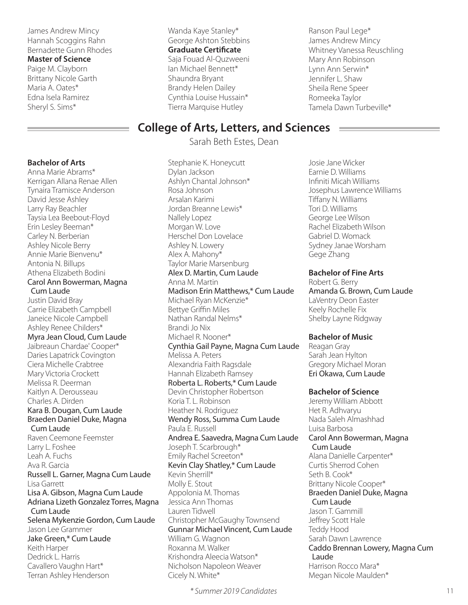James Andrew Mincy Hannah Scoggins Rahn Bernadette Gunn Rhodes

## **Master of Science**

Paige M. Clayborn Brittany Nicole Garth Maria A. Oates\* Edna Isela Ramirez Sheryl S. Sims\*

#### **Bachelor of Arts**

Anna Marie Abrams\* Kerrigan Allana Renae Allen Tynaira Tramisce Anderson David Jesse Ashley Larry Ray Beachler Taysia Lea Beebout-Floyd Erin Lesley Beeman\* Carley N. Berberian Ashley Nicole Berry Annie Marie Bienvenu\* Antonia N. Billups Athena Elizabeth Bodini Carol Ann Bowerman, Magna Cum Laude Justin David Bray Carrie Elizabeth Campbell Janeice Nicole Campbell Ashley Renee Childers\* Myra Jean Cloud, Cum Laude Jaibreaun Chardae' Cooper\* Daries Lapatrick Covington Ciera Michelle Crabtree Mary Victoria Crockett Melissa R. Deerman Kaitlyn A. Derousseau Charles A. Dirden Kara B. Dougan, Cum Laude Braeden Daniel Duke, Magna Cum Laude Raven Ceemone Feemster Larry L. Foshee Leah A. Fuchs Ava R. Garcia Russell L. Garner, Magna Cum Laude Lisa Garrett Lisa A. Gibson, Magna Cum Laude Adriana Lizeth Gonzalez Torres, Magna Cum Laude Selena Mykenzie Gordon, Cum Laude Jason Lee Grammer Jake Green,\* Cum Laude Keith Harper Dedrick L. Harris Cavallero Vaughn Hart\* Terran Ashley Henderson

Wanda Kaye Stanley\* George Ashton Stebbins **Graduate Certificate**  Saja Fouad Al-Quzweeni Ian Michael Bennett\* Shaundra Bryant Brandy Helen Dailey Cynthia Louise Hussain\* Tierra Marquise Hutley

Ranson Paul Lege\* James Andrew Mincy Whitney Vanessa Reuschling Mary Ann Robinson Lynn Ann Serwin\* Jennifer L. Shaw Sheila Rene Speer Romeeka Taylor Tamela Dawn Turbeville\*

## **College of Arts, Letters, and Sciences**

Sarah Beth Estes, Dean

Stephanie K. Honeycutt Dylan Jackson Ashlyn Chantal Johnson\* Rosa Johnson Arsalan Karimi Jordan Breanne Lewis\* Nallely Lopez Morgan W. Love Herschel Don Lovelace Ashley N. Lowery Alex A. Mahony\* Taylor Marie Marsenburg Alex D. Martin, Cum Laude Anna M. Martin Madison Erin Matthews,\* Cum Laude Michael Ryan McKenzie\* Bettye Griffin Miles Nathan Randal Nelms\* Brandi Jo Nix Michael R. Nooner\* Cynthia Gail Payne, Magna Cum Laude Melissa A. Peters Alexandria Faith Ragsdale Hannah Elizabeth Ramsey Roberta L. Roberts,\* Cum Laude Devin Christopher Robertson Koria T. L. Robinson Heather N. Rodriguez Wendy Ross, Summa Cum Laude Paula E. Russell Andrea E. Saavedra, Magna Cum Laude Joseph T. Scarbrough\* Emily Rachel Screeton\* Kevin Clay Shatley,\* Cum Laude Kevin Sherrill\* Molly E. Stout Appolonia M. Thomas Jessica Ann Thomas Lauren Tidwell Christopher McGaughy Townsend Gunnar Michael Vincent, Cum Laude William G. Wagnon Roxanna M. Walker Krishondra Aleecia Watson\* Nicholson Napoleon Weaver Cicely N. White\*

*\* Summer 2019 Candidates* 11

Josie Jane Wicker Earnie D. Williams Infiniti Micah Williams Josephus Lawrence Williams Tiffany N. Williams Tori D. Williams George Lee Wilson Rachel Elizabeth Wilson Gabriel D. Womack Sydney Janae Worsham Gege Zhang

### **Bachelor of Fine Arts**

Robert G. Berry Amanda G. Brown, Cum Laude LaVentry Deon Easter Keely Rochelle Fix Shelby Layne Ridgway

### **Bachelor of Music**

Reagan Gray Sarah Jean Hylton Gregory Michael Moran Eri Okawa, Cum Laude

**Bachelor of Science** 

Jeremy William Abbott Het R. Adhvaryu Nada Saleh Almashhad Luisa Barbosa Carol Ann Bowerman, Magna Cum Laude Alana Danielle Carpenter\* Curtis Sherrod Cohen Seth B. Cook\* Brittany Nicole Cooper\* Braeden Daniel Duke, Magna Cum Laude Jason T. Gammill Jeffrey Scott Hale Teddy Hood Sarah Dawn Lawrence Caddo Brennan Lowery, Magna Cum Laude Harrison Rocco Mara\* Megan Nicole Maulden\*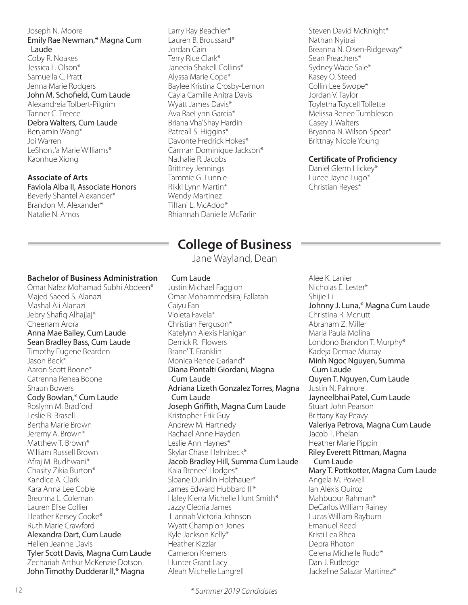### Joseph N. Moore Emily Rae Newman,\* Magna Cum Laude

Coby R. Noakes Jessica L. Olson\* Samuella C. Pratt Jenna Marie Rodgers John M. Schofield, Cum Laude Alexandreia Tolbert-Pilgrim Tanner C. Treece Debra Walters, Cum Laude Benjamin Wang\* Joi Warren LeShont'a Marie Williams\* Kaonhue Xiong

### **Associate of Arts**

Faviola Alba II, Associate Honors Beverly Shantel Alexander\* Brandon M. Alexander\* Natalie N. Amos

### **Bachelor of Business Administration**

Omar Nafez Mohamad Subhi Abdeen\* Majed Saeed S. Alanazi Mashal Ali Alanazi Jebry Shafiq Alhajjaj\* Cheenam Arora Anna Mae Bailey, Cum Laude Sean Bradley Bass, Cum Laude Timothy Eugene Bearden Jason Beck\* Aaron Scott Boone\* Catrenna Renea Boone Shaun Bowers Cody Bowlan,\* Cum Laude Roslynn M. Bradford Leslie B. Brasell Bertha Marie Brown Jeremy A. Brown\* Matthew T. Brown\* William Russell Brown Afraj M. Budhwani\* Chasity Zikia Burton\* Kandice A. Clark Kara Anna Lee Coble Breonna L. Coleman Lauren Elise Collier Heather Kersey Cooke\* Ruth Marie Crawford Alexandra Dart, Cum Laude Hellen Jeanne Davis Tyler Scott Davis, Magna Cum Laude Zechariah Arthur McKenzie Dotson John Timothy Dudderar II,\* Magna

Larry Ray Beachler\* Lauren B. Broussard\* Jordan Cain Terry Rice Clark\* Janecia Shakell Collins\* Alyssa Marie Cope\* Baylee Kristina Crosby-Lemon Cayla Camille Anitra Davis Wyatt James Davis\* Ava RaeLynn Garcia\* Briana Vha'Shay Hardin Patreall S. Higgins\* Davonte Fredrick Hokes\* Carman Dominique Jackson\* Nathalie R. Jacobs Brittney Jennings Tammie G. Lunnie Rikki Lynn Martin\* Wendy Martinez Tiffani L. McAdoo\* Rhiannah Danielle McFarlin

Steven David McKnight\* Nathan Nyitrai Breanna N. Olsen-Ridgeway\* Sean Preachers\* Sydney Wade Sale\* Kasey O. Steed Collin Lee Swope\* Jordan V. Taylor Toyletha Toycell Tollette Melissa Renee Tumbleson Casey J. Walters Bryanna N. Wilson-Spear\* Brittnay Nicole Young

### **Certificate of Proficiency**

Daniel Glenn Hickey\* Lucee Jayne Lugo\* Christian Reyes\*

# **College of Business**

Jane Wayland, Dean

### Cum Laude

Justin Michael Faggion Omar Mohammedsiraj Fallatah Caiyu Fan Violeta Favela\* Christian Ferguson\* Katelynn Alexis Flanigan Derrick R. Flowers Brane' T. Franklin Monica Renee Garland\* Diana Pontalti Giordani, Magna Cum Laude Adriana Lizeth Gonzalez Torres, Magna Cum Laude Joseph Griffith, Magna Cum Laude Kristopher Erik Guy Andrew M. Hartnedy Rachael Anne Hayden Leslie Ann Haynes\* Skylar Chase Helmbeck\* Jacob Bradley Hill, Summa Cum Laude Kala Brenee' Hodges\* Sloane Dunklin Holzhauer\* James Edward Hubbard III\* Haley Kierra Michelle Hunt Smith\* Jazzy Cleoria James Hannah Victoria Johnson Wyatt Champion Jones Kyle Jackson Kelly\* Heather Kizziar Cameron Kremers Hunter Grant Lacy Aleah Michelle Langrell

Alee K. Lanier Nicholas E. Lester\* Shijie Li Johnny J. Luna,\* Magna Cum Laude Christina R. Mcnutt Abraham Z. Miller Maria Paula Molina Londono Brandon T. Murphy\* Kadeja Demae Murray Minh Ngoc Nguyen, Summa Cum Laude Quyen T. Nguyen, Cum Laude Justin N. Palmore Jayneelbhai Patel, Cum Laude Stuart John Pearson Brittany Kay Peavy Valeriya Petrova, Magna Cum Laude Jacob T. Phelan Heather Marie Pippin Riley Everett Pittman, Magna Cum Laude Mary T. Pottkotter, Magna Cum Laude Angela M. Powell Ian Alexis Quiroz Mahbubur Rahman\* DeCarlos William Rainey Lucas William Rayburn Emanuel Reed Kristi Lea Rhea Debra Rhoton Celena Michelle Rudd\* Dan J. Rutledge Jackeline Salazar Martinez\*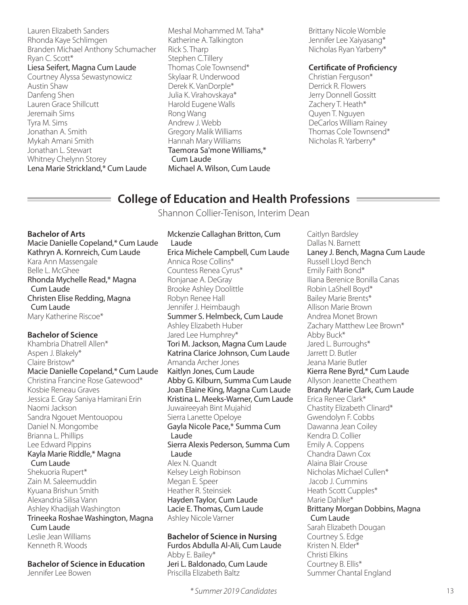Lauren Elizabeth Sanders Rhonda Kaye Schlimgen Branden Michael Anthony Schumacher Ryan C. Scott\* Liesa Seifert, Magna Cum Laude Courtney Alyssa Sewastynowicz Austin Shaw Danfeng Shen Lauren Grace Shillcutt Jeremaih Sims Tyra M. Sims Jonathan A. Smith Mykah Amani Smith Jonathan L. Stewart Whitney Chelynn Storey Lena Marie Strickland,\* Cum Laude

Meshal Mohammed M. Taha\* Katherine A. Talkington Rick S. Tharp Stephen C.Tillery Thomas Cole Townsend\* Skylaar R. Underwood Derek K. VanDorple\* Julia K. Virahovskaya\* Harold Eugene Walls Rong Wang Andrew J. Webb Gregory Malik Williams Hannah Mary Williams Taemora Sa'mone Williams,\* Cum Laude Michael A. Wilson, Cum Laude Brittany Nicole Womble Jennifer Lee Xaiyasang\* Nicholas Ryan Yarberry\*

### **Certificate of Proficiency**

Christian Ferguson\* Derrick R. Flowers Jerry Donnell Gossitt Zachery T. Heath\* Quyen T. Nguyen DeCarlos William Rainey Thomas Cole Townsend\* Nicholas R. Yarberry\*

## **College of Education and Health Professions**

Shannon Collier-Tenison, Interim Dean

### **Bachelor of Arts**

Macie Danielle Copeland,\* Cum Laude Kathryn A. Kornreich, Cum Laude Kara Ann Massengale Belle L. McGhee Rhonda Mychelle Read,\* Magna Cum Laude Christen Elise Redding, Magna Cum Laude Mary Katherine Riscoe\*

### **Bachelor of Science**

Khambria Dhatrell Allen\* Aspen J. Blakely\* Claire Bristow\* Macie Danielle Copeland,\* Cum Laude Christina Francine Rose Gatewood\* Kosbie Reneau Graves Jessica E. Gray Saniya Hamirani Erin Naomi Jackson Sandra Ngouet Mentouopou Daniel N. Mongombe Brianna L. Phillips Lee Edward Pippins Kayla Marie Riddle,\* Magna Cum Laude Shekuoria Rupert\* Zain M. Saleemuddin Kyuana Brishun Smith Alexandria Silisa Vann Ashley Khadijah Washington Trineeka Roshae Washington, Magna Cum Laude Leslie Jean Williams Kenneth R. Woods

**Bachelor of Science in Education**  Jennifer Lee Bowen

Mckenzie Callaghan Britton, Cum Laude Erica Michele Campbell, Cum Laude Annica Rose Collins\* Countess Renea Cyrus\* Ronjanae A. DeGray Brooke Ashley Doolittle Robyn Renee Hall Jennifer J. Heimbaugh Summer S. Helmbeck, Cum Laude Ashley Elizabeth Huber Jared Lee Humphrey\* Tori M. Jackson, Magna Cum Laude Katrina Clarice Johnson, Cum Laude Amanda Archer Jones Kaitlyn Jones, Cum Laude Abby G. Kilburn, Summa Cum Laude Joan Elaine King, Magna Cum Laude Kristina L. Meeks-Warner, Cum Laude Juwaireeyah Bint Mujahid Sierra Lanette Opeloye Gayla Nicole Pace,\* Summa Cum Laude Sierra Alexis Pederson, Summa Cum Laude Alex N. Quandt Kelsey Leigh Robinson Megan E. Speer Heather R. Steinsiek Hayden Taylor, Cum Laude Lacie E. Thomas, Cum Laude Ashley Nicole Varner

### **Bachelor of Science in Nursing**

Furdos Abdulla Al-Ali, Cum Laude Abby E. Bailey\* Jeri L. Baldonado, Cum Laude Priscilla Elizabeth Baltz

*\* Summer 2019 Candidates* 13

Caitlyn Bardsley Dallas N. Barnett Laney J. Bench, Magna Cum Laude Russell Lloyd Bench Emily Faith Bond\* Iliana Berenice Bonilla Canas Robin LaShell Boyd\* Bailey Marie Brents\* Allison Marie Brown Andrea Monet Brown Zachary Matthew Lee Brown\* Abby Buck\* Jared L. Burroughs\* Jarrett D. Butler Jeana Marie Butler Kierra Rene Byrd,\* Cum Laude Allyson Jeanette Cheathem Brandy Marie Clark, Cum Laude Erica Renee Clark\* Chastity Elizabeth Clinard\* Gwendolyn F. Cobbs Dawanna Jean Coiley Kendra D. Collier Emily A. Coppens Chandra Dawn Cox Alaina Blair Crouse Nicholas Michael Cullen\* Jacob J. Cummins Heath Scott Cupples\* Marie Dahlke\* Brittany Morgan Dobbins, Magna Cum Laude Sarah Elizabeth Dougan Courtney S. Edge Kristen N. Elder\* Christi Elkins Courtney B. Ellis\* Summer Chantal England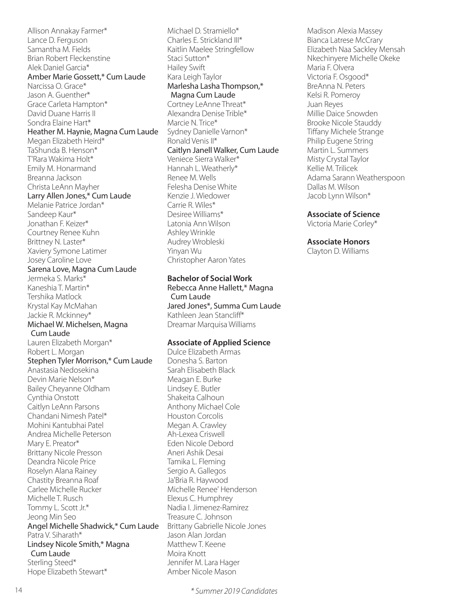Allison Annakay Farmer\* Lance D. Ferguson Samantha M. Fields Brian Robert Fleckenstine Alek Daniel Garcia\* Amber Marie Gossett,\* Cum Laude Narcissa O. Grace\* Jason A. Guenther\* Grace Carleta Hampton\* David Duane Harris II Sondra Elaine Hart\* Heather M. Haynie, Magna Cum Laude Megan Elizabeth Heird\* TaShunda B. Henson\* T'Rara Wakima Holt\* Emily M. Honarmand Breanna Jackson Christa LeAnn Mayher Larry Allen Jones,\* Cum Laude Melanie Patrice Jordan\* Sandeep Kaur\* Jonathan F. Keizer\* Courtney Renee Kuhn Brittney N. Laster\* Xaviery Symone Latimer Josey Caroline Love Sarena Love, Magna Cum Laude Jermeka S. Marks\* Kaneshia T. Martin\* Tershika Matlock Krystal Kay McMahan Jackie R. Mckinney\* Michael W. Michelsen, Magna Cum Laude Lauren Elizabeth Morgan\* Robert L. Morgan Stephen Tyler Morrison,\* Cum Laude Anastasia Nedosekina Devin Marie Nelson\* Bailey Cheyanne Oldham Cynthia Onstott Caitlyn LeAnn Parsons Chandani Nimesh Patel\* Mohini Kantubhai Patel Andrea Michelle Peterson Mary E. Preator\* Brittany Nicole Presson Deandra Nicole Price Roselyn Alana Rainey Chastity Breanna Roaf Carlee Michelle Rucker Michelle T. Rusch Tommy L. Scott Jr.\* Jeong Min Seo Angel Michelle Shadwick,\* Cum Laude Patra V. Siharath\* Lindsey Nicole Smith,\* Magna Cum Laude Sterling Steed\* Hope Elizabeth Stewart\*

Michael D. Stramiello\* Charles E. Strickland III\* Kaitlin Maelee Stringfellow Staci Sutton\* Hailey Swift Kara Leigh Taylor Marlesha Lasha Thompson,\* Magna Cum Laude Cortney LeAnne Threat\* Alexandra Denise Trible\* Marcie N. Trice\* Sydney Danielle Varnon\* Ronald Venis II\* Caitlyn Janell Walker, Cum Laude Veniece Sierra Walker\* Hannah L. Weatherly\* Renee M. Wells Felesha Denise White Kenzie J. Wiedower Carrie R. Wiles\* Desiree Williams\* Latonia Ann Wilson Ashley Wrinkle Audrey Wrobleski Yinyan Wu Christopher Aaron Yates

#### **Bachelor of Social Work**

Rebecca Anne Hallett,\* Magna Cum Laude Jared Jones\*, Summa Cum Laude Kathleen Jean Stancliff\* Dreamar Marquisa Williams

#### **Associate of Applied Science**

Dulce Elizabeth Armas Donesha S. Barton Sarah Elisabeth Black Meagan E. Burke Lindsey E. Butler Shakeita Calhoun Anthony Michael Cole Houston Corcolis Megan A. Crawley Ah-Lexea Criswell Eden Nicole Debord Aneri Ashik Desai Tamika L. Fleming Sergio A. Gallegos Ja'Bria R. Haywood Michelle Renee' Henderson Elexus C. Humphrey Nadia I. Jimenez-Ramirez Treasure C. Johnson Brittany Gabrielle Nicole Jones Jason Alan Jordan Matthew T. Keene Moira Knott Jennifer M. Lara Hager Amber Nicole Mason

Madison Alexia Massey Bianca Latrese McCrary Elizabeth Naa Sackley Mensah Nkechinyere Michelle Okeke Maria F. Olvera Victoria F. Osgood\* BreAnna N. Peters Kelsi R. Pomeroy Juan Reyes Millie Daice Snowden Brooke Nicole Stauddy Tiffany Michele Strange Philip Eugene String Martin L. Summers Misty Crystal Taylor Kellie M. Trilicek Adama Sarann Weatherspoon Dallas M. Wilson Jacob Lynn Wilson\*

#### **Associate of Science**

Victoria Marie Corley\*

#### **Associate Honors**

Clayton D. Williams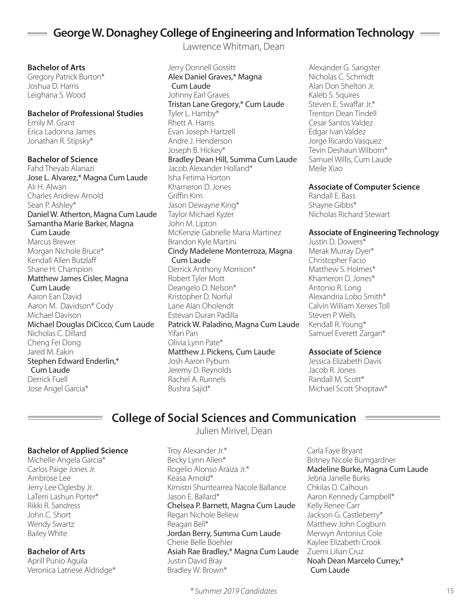## **George W. Donaghey College of Engineering and Information Technology**

Lawrence Whitman, Dean

**Bachelor of Arts** Gregory Patrick Burton\* Joshua D. Harris Leighana S. Wood

**Bachelor of Professional Studies** Emily M. Grant Erica Ladonna James Jonathan R. Stipsky\*

**Bachelor of Science** Fahd Theyab Alanazi Jose L. Alvarez,\* Magna Cum Laude Ali H. Alwan Charles Andrew Arnold Sean P. Ashley\* Daniel W. Atherton, Magna Cum Laude Samantha Marie Barker, Magna Cum Laude Marcus Brewer Morgan Nichole Bruce\* Kendall Allen Butzlaff Shane H. Champion Matthew James Cisler, Magna Cum Laude Aaron Ean David Aaron M. Davidson\* Cody Michael Davison Michael Douglas DiCicco, Cum Laude Nicholas C. Dillard Cheng Fei Dong Jared M. Eakin Stephen Edward Enderlin,\* Cum Laude Derrick Fuell Jose Angel Garcia\*

Jerry Donnell Gossitt Alex Daniel Graves,\* Magna Cum Laude Johnny Earl Graves Tristan Lane Gregory,\* Cum Laude Tyler L. Hamby\* Rhett A. Harris Evan Joseph Hartzell Andre J. Henderson Joseph B. Hickey\* Bradley Dean Hill, Summa Cum Laude Jacob Alexander Holland\* Isha Fetima Horton Khameron D. Jones Griffin Kim Jason Dewayne King\* Taylor Michael Kyzer John M. Lipton McKenzie Gabrielle Maria Martinez Brandon Kyle Martini Cindy Madelene Monterroza, Magna Cum Laude Derrick Anthony Morrison\* Robert Tyler Mott Deangelo D. Nelson\* Kristopher D. Norful Lane Alan Oholendt Estevan Duran Padilla Patrick W. Paladino, Magna Cum Laude Yifan Pan Olivia Lynn Pate\* Matthew J. Pickens, Cum Laude Josh Aaron Pyburn Jeremy D. Reynolds Rachel A. Runnels Bushra Sajid\*

Alexander G. Sangster Nicholas C. Schmidt Alan Don Shelton Jr. Kaleb S. Squires Steven E. Swaffar Jr.\* Trenton Dean Tindell Cesar Santos Valdez Edgar Ivan Valdez Jorge Ricardo Vasquez Tevin Deshaun Wilborn\* Samuel Willis, Cum Laude Meile Xiao

### **Associate of Computer Science**

Randall E. Bass Shayne Gibbs\* Nicholas Richard Stewart

### **Associate of Engineering Technology**

Justin D. Dowers\* Merak Murray Dyer\* Christopher Facio Matthew S. Holmes\* Khameron D. Jones\* Antonio R. Long Alexandria Lobo Smith\* Calvin William Xerxes Toll Steven P. Wells Kendall R. Young\* Samuel Everett Zargari\*

### **Associate of Science**

Jessica Elizabeth Davis Jacob R. Jones Randall M. Scott\* Michael Scott Shoptaw\*

# **College of Social Sciences and Communication**

Julien Mirivel, Dean

Kimistri Shuntearrea Nacole Ballance

### **Bachelor of Applied Science**

Michelle Angela Garcia\* Carlos Paige Jones Jr. Ambrose Lee Jerry Lee Oglesby Jr. LaTerri Lashun Porter\* Rikki R. Sandress John C. Short Wendy Swartz Bailey White

**Bachelor of Arts** Aprill Punio Aguila Veronica Latriese Aldridge\*

Jason E. Ballard\* Chelsea P. Barnett, Magna Cum Laude Regan Nichole Beliew Reagan Bell\* Jordan Berry, Summa Cum Laude Cherie Belle Boehler Asiah Rae Bradley,\* Magna Cum Laude Justin David Bray Bradley W. Brown\*

Troy Alexander Jr.\* Becky Lynn Allen\* Rogelio Alonso Araiza Jr.\*

Keasa Arnold\*

Carla Faye Bryant Britney Nicole Bumgardner Madeline Burke, Magna Cum Laude Jebria Janelle Burks Chkilas D. Calhoun Aaron Kennedy Campbell\* Kelly Renee Carr Jackson G. Castleberry\* Matthew John Cogburn Merwyn Antonius Cole Kaylee Elizabeth Crook Zuemi Lilian Cruz Noah Dean Marcelo Currey,\* Cum Laude